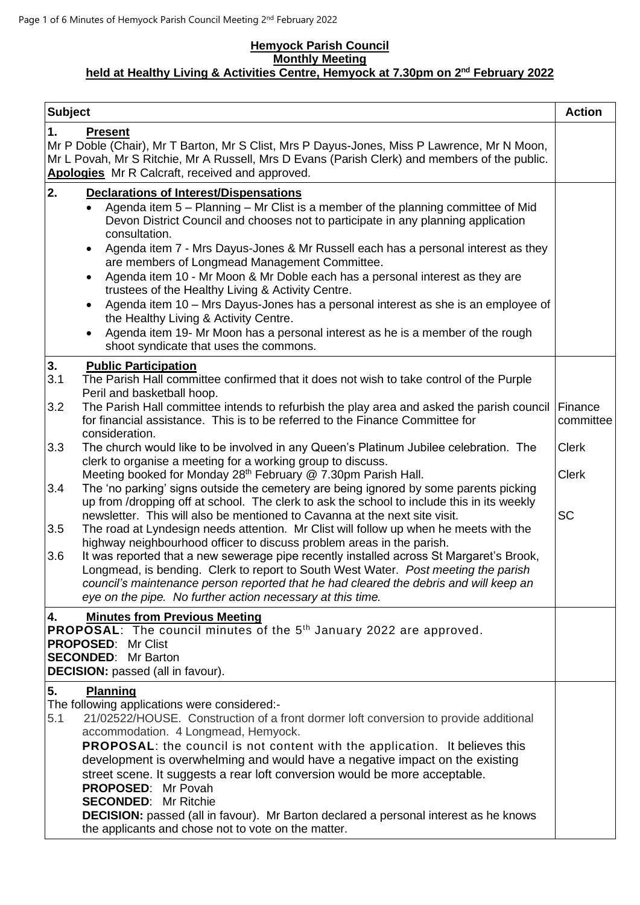#### **Hemyock Parish Council Monthly Meeting held at Healthy Living & Activities Centre, Hemyock at 7.30pm on 2 nd February 2022**

| <b>Subject</b>    |                                                                                                                                                                                                                                                                                                                                                                                                                                                                                                                                                                                                                                                                                                                                                                                                                     | <b>Action</b>                |
|-------------------|---------------------------------------------------------------------------------------------------------------------------------------------------------------------------------------------------------------------------------------------------------------------------------------------------------------------------------------------------------------------------------------------------------------------------------------------------------------------------------------------------------------------------------------------------------------------------------------------------------------------------------------------------------------------------------------------------------------------------------------------------------------------------------------------------------------------|------------------------------|
| 1.                | <b>Present</b><br>Mr P Doble (Chair), Mr T Barton, Mr S Clist, Mrs P Dayus-Jones, Miss P Lawrence, Mr N Moon,<br>Mr L Povah, Mr S Ritchie, Mr A Russell, Mrs D Evans (Parish Clerk) and members of the public.<br>Apologies Mr R Calcraft, received and approved.                                                                                                                                                                                                                                                                                                                                                                                                                                                                                                                                                   |                              |
| 2.                | <b>Declarations of Interest/Dispensations</b><br>Agenda item 5 - Planning - Mr Clist is a member of the planning committee of Mid<br>Devon District Council and chooses not to participate in any planning application<br>consultation.<br>Agenda item 7 - Mrs Dayus-Jones & Mr Russell each has a personal interest as they<br>$\bullet$<br>are members of Longmead Management Committee.<br>Agenda item 10 - Mr Moon & Mr Doble each has a personal interest as they are<br>trustees of the Healthy Living & Activity Centre.<br>Agenda item 10 - Mrs Dayus-Jones has a personal interest as she is an employee of<br>$\bullet$<br>the Healthy Living & Activity Centre.<br>Agenda item 19- Mr Moon has a personal interest as he is a member of the rough<br>$\bullet$<br>shoot syndicate that uses the commons. |                              |
| 3.<br>3.1<br>3.2  | <b>Public Participation</b><br>The Parish Hall committee confirmed that it does not wish to take control of the Purple<br>Peril and basketball hoop.<br>The Parish Hall committee intends to refurbish the play area and asked the parish council Finance<br>for financial assistance. This is to be referred to the Finance Committee for                                                                                                                                                                                                                                                                                                                                                                                                                                                                          | committee                    |
| 3.3               | consideration.<br>The church would like to be involved in any Queen's Platinum Jubilee celebration. The<br>clerk to organise a meeting for a working group to discuss.<br>Meeting booked for Monday 28th February @ 7.30pm Parish Hall.                                                                                                                                                                                                                                                                                                                                                                                                                                                                                                                                                                             | <b>Clerk</b><br><b>Clerk</b> |
| 3.4<br>3.5<br>3.6 | The 'no parking' signs outside the cemetery are being ignored by some parents picking<br>up from /dropping off at school. The clerk to ask the school to include this in its weekly<br>newsletter. This will also be mentioned to Cavanna at the next site visit.<br>The road at Lyndesign needs attention. Mr Clist will follow up when he meets with the<br>highway neighbourhood officer to discuss problem areas in the parish.<br>It was reported that a new sewerage pipe recently installed across St Margaret's Brook,<br>Longmead, is bending. Clerk to report to South West Water. Post meeting the parish<br>council's maintenance person reported that he had cleared the debris and will keep an<br>eye on the pipe. No further action necessary at this time.                                         | <b>SC</b>                    |
| 4.                | <b>Minutes from Previous Meeting</b><br>PROPOSAL: The council minutes of the 5 <sup>th</sup> January 2022 are approved.<br><b>PROPOSED: Mr Clist</b><br><b>SECONDED:</b> Mr Barton<br><b>DECISION:</b> passed (all in favour).                                                                                                                                                                                                                                                                                                                                                                                                                                                                                                                                                                                      |                              |
| 5.<br>5.1         | <b>Planning</b><br>The following applications were considered:-<br>21/02522/HOUSE. Construction of a front dormer loft conversion to provide additional<br>accommodation. 4 Longmead, Hemyock.<br><b>PROPOSAL:</b> the council is not content with the application. It believes this<br>development is overwhelming and would have a negative impact on the existing<br>street scene. It suggests a rear loft conversion would be more acceptable.<br>PROPOSED: Mr Povah<br><b>SECONDED: Mr Ritchie</b><br><b>DECISION:</b> passed (all in favour). Mr Barton declared a personal interest as he knows<br>the applicants and chose not to vote on the matter.                                                                                                                                                       |                              |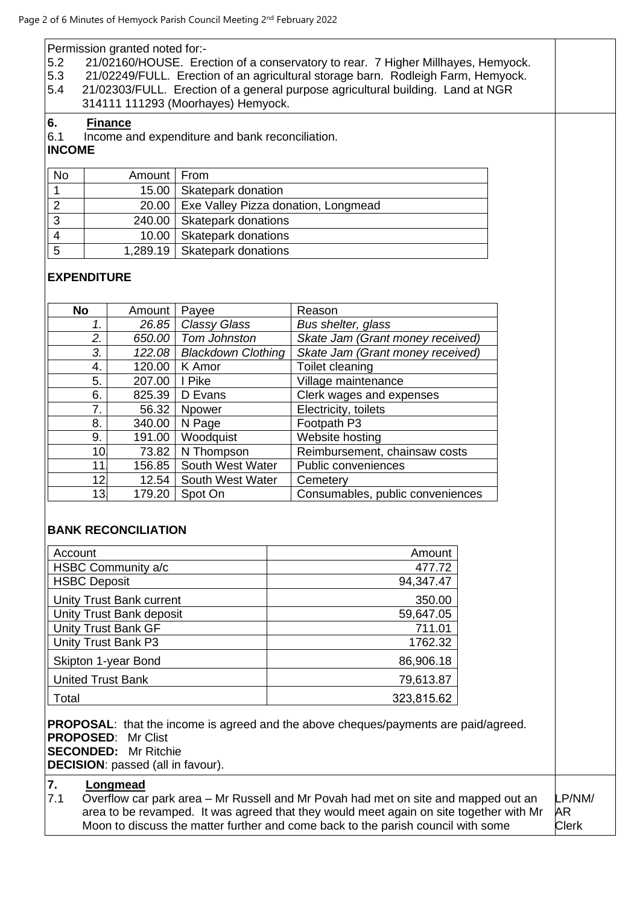Permission granted noted for:-

- 5.2 21/02160/HOUSE. Erection of a conservatory to rear. 7 Higher Millhayes, Hemyock.
- 5.3 21/02249/FULL. Erection of an agricultural storage barn. Rodleigh Farm, Hemyock.<br>5.4 21/02303/FULL. Erection of a general purpose agricultural building. Land at NGR
- 5.4 21/02303/FULL. Erection of a general purpose agricultural building. Land at NGR 314111 111293 (Moorhayes) Hemyock.

#### **6. Finance**

6.1 Income and expenditure and bank reconciliation.

# **INCOME**

| No | Amount   From |                                             |
|----|---------------|---------------------------------------------|
|    |               | 15.00   Skatepark donation                  |
|    |               | 20.00   Exe Valley Pizza donation, Longmead |
| 3  |               | 240.00   Skatepark donations                |
|    |               | 10.00   Skatepark donations                 |
| 5  |               | 1,289.19   Skatepark donations              |

## **EXPENDITURE**

| <b>No</b> | Amount | Payee                     | Reason                           |
|-----------|--------|---------------------------|----------------------------------|
| 1.        | 26.85  | Classy Glass              | Bus shelter, glass               |
| 2.        | 650.00 | Tom Johnston              | Skate Jam (Grant money received) |
| 3.        | 122.08 | <b>Blackdown Clothing</b> | Skate Jam (Grant money received) |
| 4.        | 120.00 | K Amor                    | Toilet cleaning                  |
| 5.        | 207.00 | I Pike                    | Village maintenance              |
| 6.        | 825.39 | D Evans                   | Clerk wages and expenses         |
| 7.        | 56.32  | <b>Npower</b>             | Electricity, toilets             |
| 8.        | 340.00 | N Page                    | Footpath P3                      |
| 9.        | 191.00 | Woodquist                 | Website hosting                  |
| 10        | 73.82  | N Thompson                | Reimbursement, chainsaw costs    |
| 11        | 156.85 | South West Water          | Public conveniences              |
| 12        | 12.54  | South West Water          | Cemetery                         |
| 13        | 179.20 | Spot On                   | Consumables, public conveniences |

### **BANK RECONCILIATION**

| Account                         | Amount     |
|---------------------------------|------------|
| HSBC Community a/c              | 477.72     |
| <b>HSBC Deposit</b>             | 94,347.47  |
| <b>Unity Trust Bank current</b> | 350.00     |
| Unity Trust Bank deposit        | 59,647.05  |
| <b>Unity Trust Bank GF</b>      | 711.01     |
| Unity Trust Bank P3             | 1762.32    |
| Skipton 1-year Bond             | 86,906.18  |
| <b>United Trust Bank</b>        | 79,613.87  |
| Total                           | 323,815.62 |

**PROPOSAL:** that the income is agreed and the above cheques/payments are paid/agreed. **PROPOSED**: Mr Clist **SECONDED:** Mr Ritchie **DECISION**: passed (all in favour).

# **7. Longmead**

7.1 Overflow car park area – Mr Russell and Mr Povah had met on site and mapped out an area to be revamped. It was agreed that they would meet again on site together with Mr Moon to discuss the matter further and come back to the parish council with some LP/NM/ AR Clerk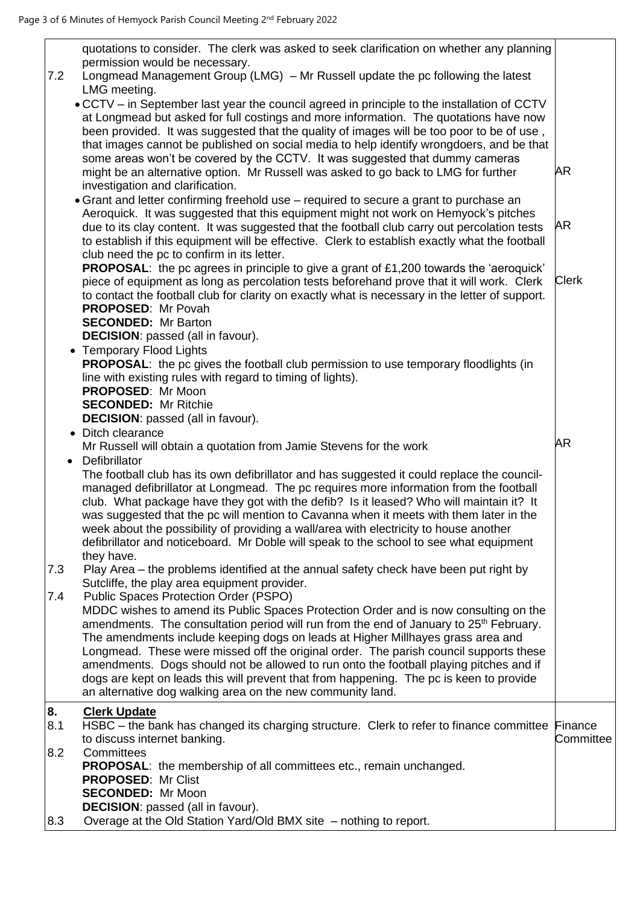| 7.2       | quotations to consider. The clerk was asked to seek clarification on whether any planning<br>permission would be necessary.<br>Longmead Management Group (LMG) – Mr Russell update the pc following the latest<br>LMG meeting.                                                                                                                                                                                                                                                                                                                                                                                                                                     |                      |
|-----------|--------------------------------------------------------------------------------------------------------------------------------------------------------------------------------------------------------------------------------------------------------------------------------------------------------------------------------------------------------------------------------------------------------------------------------------------------------------------------------------------------------------------------------------------------------------------------------------------------------------------------------------------------------------------|----------------------|
|           | . CCTV - in September last year the council agreed in principle to the installation of CCTV<br>at Longmead but asked for full costings and more information. The quotations have now<br>been provided. It was suggested that the quality of images will be too poor to be of use,<br>that images cannot be published on social media to help identify wrongdoers, and be that                                                                                                                                                                                                                                                                                      |                      |
|           | some areas won't be covered by the CCTV. It was suggested that dummy cameras<br>might be an alternative option. Mr Russell was asked to go back to LMG for further<br>investigation and clarification.                                                                                                                                                                                                                                                                                                                                                                                                                                                             | <b>AR</b>            |
|           | • Grant and letter confirming freehold use - required to secure a grant to purchase an<br>Aeroquick. It was suggested that this equipment might not work on Hemyock's pitches<br>due to its clay content. It was suggested that the football club carry out percolation tests<br>to establish if this equipment will be effective. Clerk to establish exactly what the football<br>club need the pc to confirm in its letter.                                                                                                                                                                                                                                      | AR                   |
|           | <b>PROPOSAL:</b> the pc agrees in principle to give a grant of £1,200 towards the 'aeroquick'<br>piece of equipment as long as percolation tests beforehand prove that it will work. Clerk<br>to contact the football club for clarity on exactly what is necessary in the letter of support.<br><b>PROPOSED: Mr Povah</b><br><b>SECONDED:</b> Mr Barton                                                                                                                                                                                                                                                                                                           | <b>Clerk</b>         |
|           | <b>DECISION:</b> passed (all in favour).                                                                                                                                                                                                                                                                                                                                                                                                                                                                                                                                                                                                                           |                      |
|           | <b>Temporary Flood Lights</b><br><b>PROPOSAL:</b> the pc gives the football club permission to use temporary floodlights (in                                                                                                                                                                                                                                                                                                                                                                                                                                                                                                                                       |                      |
|           | line with existing rules with regard to timing of lights).<br><b>PROPOSED: Mr Moon</b>                                                                                                                                                                                                                                                                                                                                                                                                                                                                                                                                                                             |                      |
|           | <b>SECONDED:</b> Mr Ritchie                                                                                                                                                                                                                                                                                                                                                                                                                                                                                                                                                                                                                                        |                      |
|           | <b>DECISION:</b> passed (all in favour).                                                                                                                                                                                                                                                                                                                                                                                                                                                                                                                                                                                                                           |                      |
|           | • Ditch clearance<br>Mr Russell will obtain a quotation from Jamie Stevens for the work                                                                                                                                                                                                                                                                                                                                                                                                                                                                                                                                                                            | <b>AR</b>            |
|           |                                                                                                                                                                                                                                                                                                                                                                                                                                                                                                                                                                                                                                                                    |                      |
|           |                                                                                                                                                                                                                                                                                                                                                                                                                                                                                                                                                                                                                                                                    |                      |
|           | Defibrillator<br>$\bullet$<br>The football club has its own defibrillator and has suggested it could replace the council-<br>managed defibrillator at Longmead. The pc requires more information from the football<br>club. What package have they got with the defib? Is it leased? Who will maintain it? It<br>was suggested that the pc will mention to Cavanna when it meets with them later in the<br>week about the possibility of providing a wall/area with electricity to house another<br>defibrillator and noticeboard. Mr Doble will speak to the school to see what equipment                                                                         |                      |
| 7.3       | they have.<br>Play Area – the problems identified at the annual safety check have been put right by                                                                                                                                                                                                                                                                                                                                                                                                                                                                                                                                                                |                      |
|           | Sutcliffe, the play area equipment provider.                                                                                                                                                                                                                                                                                                                                                                                                                                                                                                                                                                                                                       |                      |
| 7.4       | Public Spaces Protection Order (PSPO)<br>MDDC wishes to amend its Public Spaces Protection Order and is now consulting on the<br>amendments. The consultation period will run from the end of January to 25 <sup>th</sup> February.<br>The amendments include keeping dogs on leads at Higher Millhayes grass area and<br>Longmead. These were missed off the original order. The parish council supports these<br>amendments. Dogs should not be allowed to run onto the football playing pitches and if<br>dogs are kept on leads this will prevent that from happening. The pc is keen to provide<br>an alternative dog walking area on the new community land. |                      |
| 8.<br>8.1 | <b>Clerk Update</b><br>HSBC – the bank has changed its charging structure. Clerk to refer to finance committee<br>to discuss internet banking.                                                                                                                                                                                                                                                                                                                                                                                                                                                                                                                     | Finance<br>Committee |
| 8.2       | Committees<br><b>PROPOSAL:</b> the membership of all committees etc., remain unchanged.<br><b>PROPOSED: Mr Clist</b><br><b>SECONDED:</b> Mr Moon<br><b>DECISION:</b> passed (all in favour).                                                                                                                                                                                                                                                                                                                                                                                                                                                                       |                      |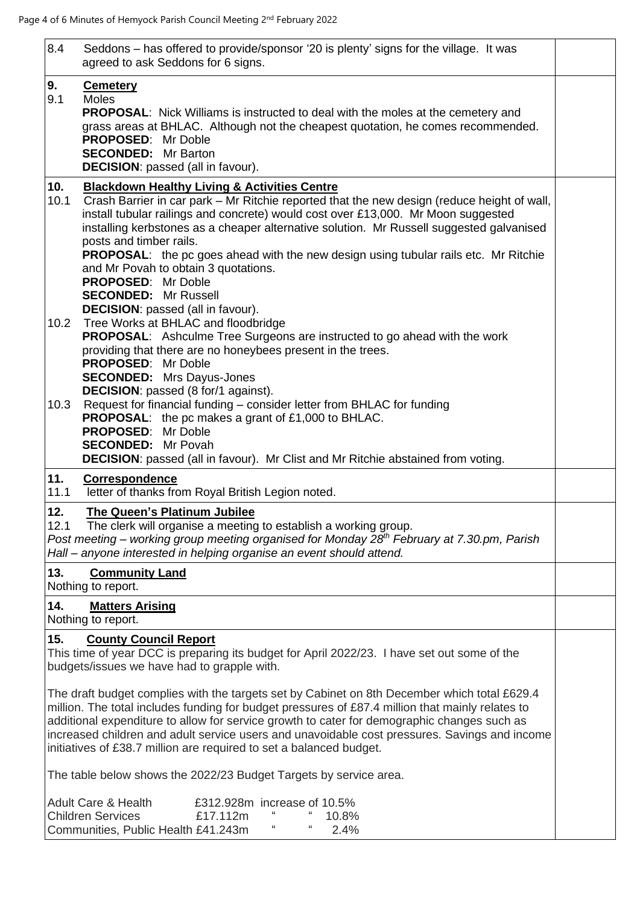| 8.4         | Seddons - has offered to provide/sponsor '20 is plenty' signs for the village. It was<br>agreed to ask Seddons for 6 signs.                                                                                                                                                                                                                                                                                                                                                                                                                                          |  |
|-------------|----------------------------------------------------------------------------------------------------------------------------------------------------------------------------------------------------------------------------------------------------------------------------------------------------------------------------------------------------------------------------------------------------------------------------------------------------------------------------------------------------------------------------------------------------------------------|--|
| 9.<br>9.1   | <b>Cemetery</b><br><b>Moles</b><br><b>PROPOSAL:</b> Nick Williams is instructed to deal with the moles at the cemetery and<br>grass areas at BHLAC. Although not the cheapest quotation, he comes recommended.<br><b>PROPOSED: Mr Doble</b><br><b>SECONDED:</b> Mr Barton<br><b>DECISION:</b> passed (all in favour).                                                                                                                                                                                                                                                |  |
| 10.<br>10.1 | <b>Blackdown Healthy Living &amp; Activities Centre</b><br>Crash Barrier in car park – Mr Ritchie reported that the new design (reduce height of wall,<br>install tubular railings and concrete) would cost over £13,000. Mr Moon suggested<br>installing kerbstones as a cheaper alternative solution. Mr Russell suggested galvanised<br>posts and timber rails.<br><b>PROPOSAL:</b> the pc goes ahead with the new design using tubular rails etc. Mr Ritchie<br>and Mr Povah to obtain 3 quotations.<br><b>PROPOSED: Mr Doble</b><br><b>SECONDED: Mr Russell</b> |  |
| 10.2        | <b>DECISION:</b> passed (all in favour).<br>Tree Works at BHLAC and floodbridge<br><b>PROPOSAL:</b> Ashculme Tree Surgeons are instructed to go ahead with the work<br>providing that there are no honeybees present in the trees.<br><b>PROPOSED: Mr Doble</b><br><b>SECONDED:</b> Mrs Dayus-Jones<br><b>DECISION:</b> passed (8 for/1 against).                                                                                                                                                                                                                    |  |
| 10.3        | Request for financial funding - consider letter from BHLAC for funding<br><b>PROPOSAL:</b> the pc makes a grant of £1,000 to BHLAC.<br><b>PROPOSED: Mr Doble</b><br><b>SECONDED:</b> Mr Povah<br><b>DECISION:</b> passed (all in favour). Mr Clist and Mr Ritchie abstained from voting.                                                                                                                                                                                                                                                                             |  |
| 11.<br>11.1 | <b>Correspondence</b><br>letter of thanks from Royal British Legion noted.                                                                                                                                                                                                                                                                                                                                                                                                                                                                                           |  |
| 12.<br>12.1 | The Queen's Platinum Jubilee<br>The clerk will organise a meeting to establish a working group.<br>Post meeting – working group meeting organised for Monday 28 <sup>th</sup> February at 7.30 pm, Parish<br>Hall - anyone interested in helping organise an event should attend.                                                                                                                                                                                                                                                                                    |  |
| 13.         | <b>Community Land</b><br>Nothing to report.                                                                                                                                                                                                                                                                                                                                                                                                                                                                                                                          |  |
| 14.         | <b>Matters Arising</b><br>Nothing to report.                                                                                                                                                                                                                                                                                                                                                                                                                                                                                                                         |  |
| 15.         | <b>County Council Report</b><br>This time of year DCC is preparing its budget for April 2022/23. I have set out some of the<br>budgets/issues we have had to grapple with.                                                                                                                                                                                                                                                                                                                                                                                           |  |
|             | The draft budget complies with the targets set by Cabinet on 8th December which total £629.4<br>million. The total includes funding for budget pressures of £87.4 million that mainly relates to<br>additional expenditure to allow for service growth to cater for demographic changes such as<br>increased children and adult service users and unavoidable cost pressures. Savings and income<br>initiatives of £38.7 million are required to set a balanced budget.                                                                                              |  |
|             | The table below shows the 2022/23 Budget Targets by service area.                                                                                                                                                                                                                                                                                                                                                                                                                                                                                                    |  |
|             | <b>Adult Care &amp; Health</b><br>£312.928m increase of 10.5%<br><b>Children Services</b><br>£17.112m<br>10.8%<br>"<br>"<br>Communities, Public Health £41.243m<br>2.4%                                                                                                                                                                                                                                                                                                                                                                                              |  |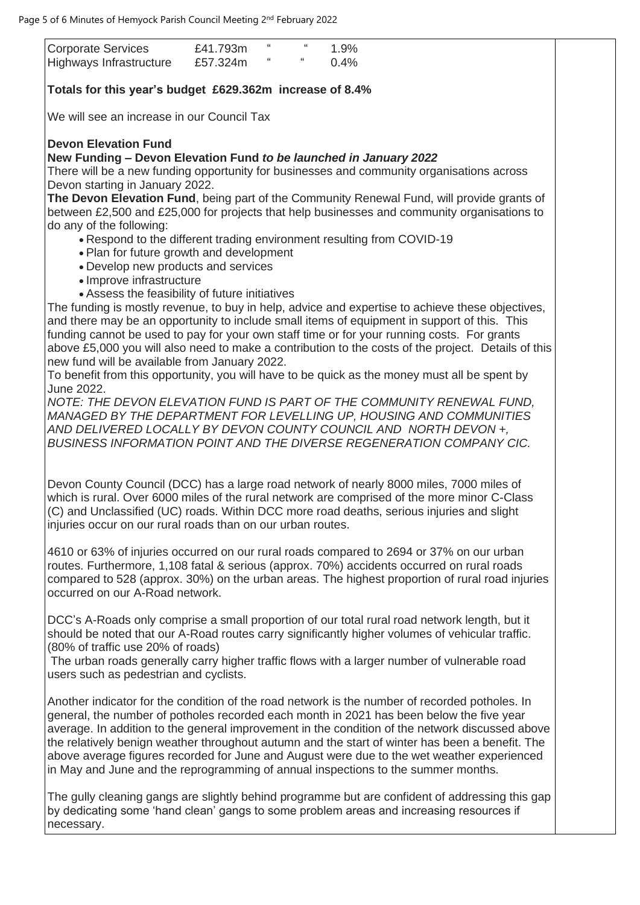average. In addition to the general improvement in the condition of the network discussed above the relatively benign weather throughout autumn and the start of winter has been a benefit. The above average figures recorded for June and August were due to the wet weather experienced in May and June and the reprogramming of annual inspections to the summer months.

The gully cleaning gangs are slightly behind programme but are confident of addressing this gap by dedicating some 'hand clean' gangs to some problem areas and increasing resources if necessary.